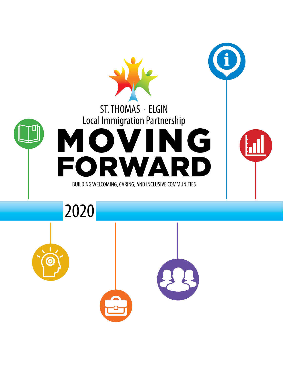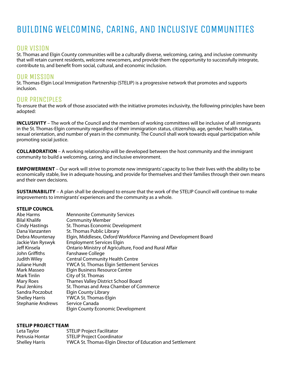## BUILDING WELCOMING, CARING, AND INCLUSIVE COMMUNITIES

#### OUR VISION

St. Thomas and Elgin County communities will be a culturally diverse, welcoming, caring, and inclusive community that will retain current residents, welcome newcomers, and provide them the opportunity to successfully integrate, contribute to, and benefit from social, cultural, and economic inclusion.

#### OUR MISSION

St. Thomas-Elgin Local Immigration Partnership (STELIP) is a progressive network that promotes and supports inclusion.

#### OUR PRINCIPLES

To ensure that the work of those associated with the initiative promotes inclusivity, the following principles have been adopted:

**INCLUSIVITY** – The work of the Council and the members of working committees will be inclusive of all immigrants in the St. Thomas-Elgin community regardless of their immigration status, citizenship, age, gender, health status, sexual orientation, and number of years in the community. The Council shall work towards equal participation while promoting social justice.

**COLLABORATION** – A working relationship will be developed between the host community and the immigrant community to build a welcoming, caring, and inclusive environment.

**EMPOWERMENT** – Our work will strive to promote new immigrants' capacity to live their lives with the ability to be economically stable, live in adequate housing, and provide for themselves and their families through their own means and their own decisions.

**SUSTAINABILITY** – A plan shall be developed to ensure that the work of the STELIP Council will continue to make improvements to immigrants' experiences and the community as a whole.

#### **STELIP COUNCIL**

| Abe Harms                | <b>Mennonite Community Services</b>                               |
|--------------------------|-------------------------------------------------------------------|
| <b>Bilal Khalife</b>     | <b>Community Member</b>                                           |
| <b>Cindy Hastings</b>    | St. Thomas Economic Development                                   |
| Dana Vanzanten           | St. Thomas Public Library                                         |
| Debra Mountenay          | Elgin, Middlesex, Oxford Workforce Planning and Development Board |
| Jackie Van Ryswyk        | <b>Employment Services Elgin</b>                                  |
| Jeff Kinsela             | Ontario Ministry of Agriculture, Food and Rural Affair            |
| John Griffiths           | Fanshawe College                                                  |
| <b>Judith Wiley</b>      | <b>Central Community Health Centre</b>                            |
| Juliane Hundt            | YWCA St. Thomas Elgin Settlement Services                         |
| Mark Masseo              | <b>Elgin Business Resource Centre</b>                             |
| Mark Tinlin              | City of St. Thomas                                                |
| <b>Mary Roes</b>         | <b>Thames Valley District School Board</b>                        |
| Paul Jenkins             | St. Thomas and Area Chamber of Commerce                           |
| Sandra Poczobut          | Elgin County Library                                              |
| <b>Shelley Harris</b>    | YWCA St. Thomas-Elgin                                             |
| <b>Stephanie Andrews</b> | Service Canada                                                    |
|                          | <b>Elgin County Economic Development</b>                          |

#### **STELIP PROJECT TEAM**

| Leta Taylor           | <b>STELIP Project Facilitator</b>                          |
|-----------------------|------------------------------------------------------------|
| Petrusia Hontar       | <b>STELIP Project Coordinator</b>                          |
| <b>Shelley Harris</b> | YWCA St. Thomas-Elgin Director of Education and Settlement |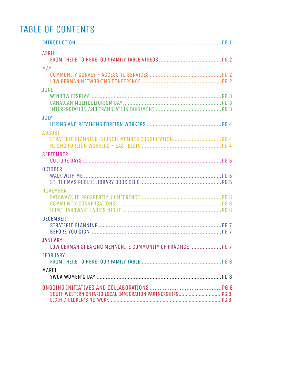## TABLE OF CONTENTS

| <b>APRIL</b>                                                          |                |  |
|-----------------------------------------------------------------------|----------------|--|
| <b>MAY</b>                                                            |                |  |
|                                                                       |                |  |
| <b>JUNE</b>                                                           |                |  |
|                                                                       |                |  |
| <b>JULY</b>                                                           |                |  |
|                                                                       |                |  |
| <b>AUGUST</b>                                                         |                |  |
|                                                                       |                |  |
|                                                                       |                |  |
| <b>SEPTEMBER</b>                                                      |                |  |
|                                                                       |                |  |
| <b>OCTOBER</b>                                                        |                |  |
|                                                                       |                |  |
| <b>NOVEMBER</b>                                                       |                |  |
|                                                                       |                |  |
|                                                                       |                |  |
|                                                                       |                |  |
| <b>DECEMBER</b>                                                       |                |  |
|                                                                       |                |  |
|                                                                       |                |  |
| <b>JANUARY</b><br>LOW GERMAN SPEAKING MENNONITE COMMUNITY OF PRACTICE | P <sub>G</sub> |  |
| <b>FEBRUARY</b>                                                       |                |  |
|                                                                       |                |  |
| MARCH                                                                 |                |  |
|                                                                       |                |  |
|                                                                       |                |  |
|                                                                       |                |  |
|                                                                       |                |  |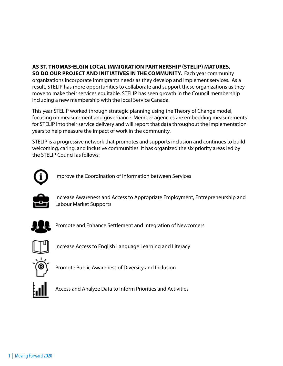#### **AS ST. THOMAS-ELGIN LOCAL IMMIGRATION PARTNERSHIP (STELIP) MATURES, SO DO OUR PROJECT AND INITIATIVES IN THE COMMUNITY.** Each year community organizations incorporate immigrants needs as they develop and implement services. As a result, STELIP has more opportunities to collaborate and support these organizations as they move to make their services equitable. STELIP has seen growth in the Council membership including a new membership with the local Service Canada.

This year STELIP worked through strategic planning using the Theory of Change model, focusing on measurement and governance. Member agencies are embedding measurements for STELIP into their service delivery and will report that data throughout the implementation years to help measure the impact of work in the community.

STELIP is a progressive network that promotes and supports inclusion and continues to build welcoming, caring, and inclusive communities. It has organized the six priority areas led by the STELIP Council as follows:



Improve the Coordination of Information between Services



Increase Awareness and Access to Appropriate Employment, Entrepreneurship and Labour Market Supports



Promote and Enhance Settlement and Integration of Newcomers



Increase Access to English Language Learning and Literacy



Promote Public Awareness of Diversity and Inclusion



Access and Analyze Data to Inform Priorities and Activities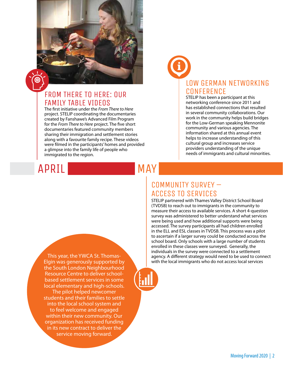

The first initiative under the *From There to Here* project. STELIP coordinating the documentaries created by Fanshawe's Advanced Film Program for the *From There to Here* project. The five short documentaries featured community members sharing their immigration and settlement stories along with a favourite family recipe. These videos were filmed in the participants' homes and provided a glimpse into the family life of people who immigrated to the region.

# APRIL

# MAY

# LOW GERMAN NETWORKING **CONFERENCE**

STELIP has been a participant at this networking conference since 2011 and has established connections that resulted in several community collaborations. Our work in the community helps build bridges for the Low-German speaking Mennonite community and various agencies. The information shared at this annual event helps to increase understanding of this cultural group and increases service providers understanding of the unique needs of immigrants and cultural minorities.

### COMMUNITY SURVEY – ACCESS TO SERVICES

STELIP partnered with Thames Valley District School Board (TVDSB) to reach out to immigrants in the community to measure their access to available services. A short 4-question survey was administered to better understand what services were being used and how additional supports were being accessed. The survey participants all had children enrolled in the ELL and ESL classes in TVDSB. This process was a pilot to ascertain if a larger survey could be conducted across the school board. Only schools with a large number of students enrolled in these classes were surveyed. Generally, the individuals in the survey were connected to a settlement agency. A different strategy would need to be used to connect with the local immigrants who do not access local services

This year, the YWCA St. Thomas-Elgin was generously supported by the South London Neighbourhood Resource Centre to deliver schoolbased settlement services in some local elementary and high-schools. The pilot helped newcomer students and their families to settle into the local school system and to feel welcome and engaged within their new community. Our organization has received funding in its new contract to deliver the service moving forward.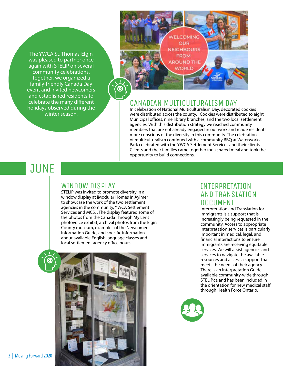The YWCA St. Thomas-Elgin was pleased to partner once again with STELIP on several community celebrations. Together, we organized a family-friendly Canada Day event and invited newcomers and established residents to celebrate the many different holidays observed during the winter season.



#### CANADIAN MULTICULTURALISM DAY

In celebration of National Multiculturalism Day, decorated cookies were distributed across the county. Cookies were distributed to eight Municipal offices, nine library branches, and the two local settlement agencies. With this distribution strategy we reached community members that are not already engaged in our work and made residents more conscious of the diversity in this community. The celebration of multiculturalism continued with a community BBQ at Waterworks Park celebrated with the YWCA Settlement Services and their clients. Clients and their families came together for a shared meal and took the opportunity to build connections.

## **JUNE**

#### WINDOW DISPLAY

STELIP was invited to promote diversity in a window display at iModular Homes in Aylmer to showcase the work of the two settlement agencies in the community, YWCA Settlement Services and MCS, . The display featured some of the photos from the Canada Through My Lens photovoice exhibit, archival photos from the Elgin County museum, examples of the Newcomer Information Guide, and specific information about available English language classes and local settlement agency office hours.



### INTERPRETATION AND TRANSLATION DOCUMENT

Interpretation and Translation for immigrants is a support that is increasingly being requested in the community. Access to appropriate interpretation services is particularly important in medical, legal, and financial interactions to ensure immigrants are receiving equitable services. We will assist agencies and services to navigate the available resources and access a support that meets the needs of their agency There is an Interpretation Guide available community-wide through STELIP.ca and has been included in the orientation for new medical staff through Health Force Ontario.

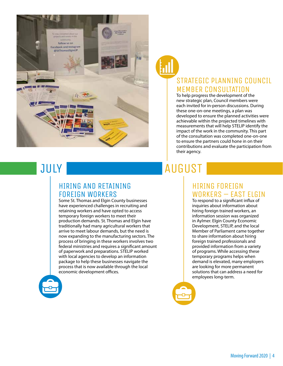



## STRATEGIC PLANNING COUNCIL MEMBER CONSULTATION

To help progress the development of the new strategic plan, Council members were each invited for in-person discussions. During these one-on-one meetings, a plan was developed to ensure the planned activities were achievable within the projected timelines with measurements that will help STELIP identify the impact of the work in the community. This part of the consultation was completed one-on-one to ensure the partners could hone in on their contributions and evaluate the participation from their agency.

# **JULY**

### HIRING AND RETAINING FOREIGN WORKERS

Some St. Thomas and Elgin County businesses have experienced challenges in recruiting and retaining workers and have opted to access temporary foreign workers to meet their production demands. St. Thomas and Elgin have traditionally had many agricultural workers that arrive to meet labour demands, but the need is now expanding to the manufacturing sectors. The process of bringing in these workers involves two federal ministries and requires a significant amount of paperwork and preparations. STELIP worked with local agencies to develop an information package to help these businesses navigate the process that is now available through the local economic development offices.



# AUGUST

### HIRING FOREIGN WORKERS – EAST ELGIN

To respond to a significant influx of inquiries about information about hiring foreign trained workers, an information session was organized in Aylmer. Elgin County Economic Development, STELIP, and the local Member of Parliament came together to share information about hiring foreign trained professionals and provided information from a variety of programs. While accessing these temporary programs helps when demand is elevated, many employers are looking for more permanent solutions that can address a need for employees long-term.

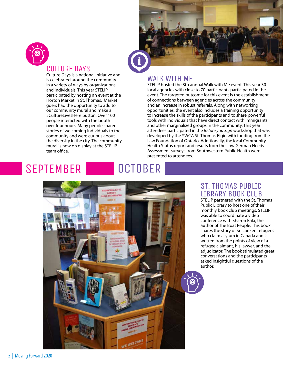

# CULTURE DAYS Culture Days is a national initiative and

is celebrated around the community in a variety of ways by organizations and individuals. This year STELIP participated by hosting an event at the Horton Market in St. Thomas. Market goers had the opportunity to add to our community mural and make a #CultureLivesHere button. Over 100 people interacted with the booth over four hours. Many people shared stories of welcoming individuals to the community and were curious about the diversity in the city. The community mural is now on display at the STELIP team office.

#### **OCTOBER** SEPTEMBER



### WALK WITH ME

STELIP hosted the 8th annual Walk with Me event. This year 30 local agencies with close to 70 participants participated in the event. The targeted outcome for this event is the establishment of connections between agencies across the community and an increase in robust referrals. Along with networking opportunities, the event also includes a training opportunity to increase the skills of the participants and to share powerful tools with individuals that have direct contact with immigrants and other marginalized groups in the community. This year attendees participated in the *Before you Sign* workshop that was developed by the YWCA St. Thomas-Elgin with funding from the Law Foundation of Ontario. Additionally, the local Community Health Status report and results from the Low German Needs Assessment surveys from Southwestern Public Health were presented to attendees.



#### ST. THOMAS PUBLIC LIBRARY BOOK CLUB

STELIP partnered with the St. Thomas Public Library to host one of their monthly book club meetings. STELIP was able to coordinate a video conference with Sharon Bala, the author of The Boat People. This book shares the story of Sri Lanken refugees who claim asylum in Canada and is written from the points of view of a refugee claimant, his lawyer, and the adjudicator. The book stimulated great conversations and the participants asked insightful questions of the author.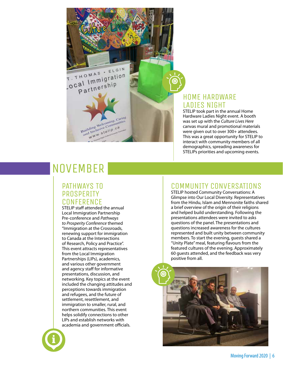T. THOMAS . ELGIN T. THOMAS . ELGIN al Immigran<br>Partnership

> Building Welcoming, Caring Building Welcoming, Caring Mine Welcommunity<br>d Inclusive Community<br>w W W . stellp.ca

#### HOME HARDWARE LADIES NIGHT

STELIP took part in the annual Home Hardware Ladies Night event. A booth was set up with the *Culture Lives Here* canvas mural and promotional materials were given out to over 300+ attendees. This was a great opportunity for STELIP to interact with community members of all demographics, spreading awareness for STELIPs priorities and upcoming events.

# **NOVEMBER**

#### PATHWAYS TO **PROSPERITY CONFERENCE**

STELIP staff attended the annual Local Immigration Partnership Pre-conference and *Pathways to Prosperity Conference* themed "Immigration at the Crossroads, renewing support for immigration to Canada at the Intersections of Research, Policy and Practice". This event attracts representatives from the Local Immigration Partnerships (LIPs), academics, and various other government and agency staff for informative presentations, discussion, and networking. Key topics at the event included the changing attitudes and perceptions towards immigration and refugees, and the future of settlement, resettlement, and immigration to smaller, rural, and northern communities. This event helps solidify connections to other LIPs and establish networks with academia and government officials.



### COMMUNITY CONVERSATIONS

STELIP hosted Community Conversations: A Glimpse into Our Local Diversity. Representatives from the Hindu, Islam and Mennonite faiths shared a brief overview of the origin of their religions and helped build understanding. Following the presentations attendees were invited to asks questions of the panel. The presentations and questions increased awareness for the cultures represented and built unity between community members. To start the evening, guests shared a "Unity Plate" meal, featuring flavours from the featured cultures of the evening. Approximately 60 guests attended, and the feedback was very positive from all.

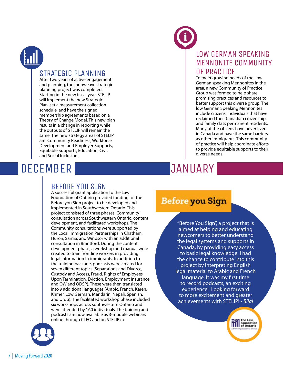

#### STRATEGIC PLANNING

After two years of active engagement and planning, the Innoweave strategic planning project was completed. Starting in the new fiscal year, STELIP will implement the new Strategic Plan, set a measurement collection schedule, and have the signed membership agreements based on a Theory of Change Model. This new plan results in a change in reporting while the outputs of STELIP will remain the same. The new strategy areas of STELIP are: Community Readiness, Workforce Development and Employer Supports, Equitable Supports, Education, Civic and Social Inclusion.

# DECEMBER

### LOW GERMAN SPEAKING MENNONITE COMMUNITY OF PRACTICE

To meet growing needs of the Low German speaking Mennonites in the area, a new Community of Practice Group was formed to help share promising practices and resources to better support this diverse group. The low German Speaking Mennonites include citizens, individuals that have reclaimed their Canadian citizenship, and family class permanent residents. Many of the citizens have never lived in Canada and have the same barriers as other immigrants. This community of practice will help coordinate efforts to provide equitable supports to their diverse needs.

# JANUARY

### BEFORE YOU SIGN

A successful grant application to the Law Foundation of Ontario provided funding for the Before you Sign project to be developed and implemented in Southwestern Ontario. This project consisted of three phases: Community consultation across Southwestern Ontario, content development, and facilitated workshops. The Community consultations were supported by the Local Immigration Partnerships in Chatham, Huron, Sarnia, and Windsor with an additional consultation in Brantford. During the content development phase, a workshop and manual were created to train frontline workers in providing legal information to immigrants. In addition to the training package, podcasts were created for seven different topics (Separations and Divorce, Custody and Access, Fraud, Rights of Employees Upon Termination, Eviction, Employment Insurance, and OW and ODSP). These were then translated into 9 additional languages (Arabic, French, Karen, Khmer, Low German, Mandarin, Nepali, Spanish, and Urdu). The facilitated workshop phase included six workshops across southwestern Ontario and were attended by 160 individuals. The training and podcasts are now available as 3-module webinars online through CLEO and on STELIP.ca.

## **Before you Sign**

"Before You Sign", a project that is aimed at helping and educating newcomers to better understand the legal systems and supports in Canada, by providing easy access to basic legal knowledge. I had the chance to contribute into this project by interpreting English legal material to Arabic and French language. It was my first time to record podcasts, an exciting experience! Looking forward to more excitement and greater achievements with STELIP! - *Bilal* 

The Law<br>Toundation<br>IIII of Ontario

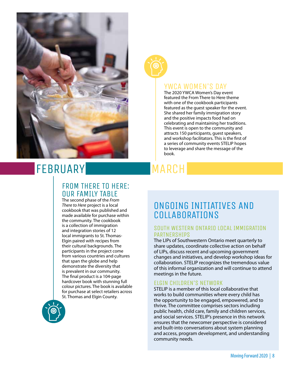



#### YWCA WOMEN'S DAY

The 2020 YWCA Women's Day event featured the From There to Here theme with one of the cookbook participants featured as the guest speaker for the event. She shared her family immigration story and the positive impacts food had on celebrating and maintaining her traditions. This event is open to the community and attracts 150 participants, guest speakers, and workshop facilitators. This is the first of a series of community events STELIP hopes to leverage and share the message of the book.

# FEBRUARY

#### FROM THERE TO HERE: OUR FAMILY TABLE

The second phase of the *From There to Here* project is a local cookbook that was published and made available for purchase within the community. The cookbook is a collection of immigration and integration stories of 12 local immigrants to St. Thomas-Elgin paired with recipes from their cultural backgrounds. The participants in the project come from various countries and cultures that span the globe and help demonstrate the diversity that is prevalent in our community. The final product is a 104-page hardcover book with stunning full colour pictures. The book is available for purchase at select retailers across St. Thomas and Elgin County.



# MARCH

## ONGOING INITIATIVES AND COLLABORATIONS

#### SOUTH WESTERN ONTARIO LOCAL IMMIGRATION PARTNERSHIPS

The LIPs of Southwestern Ontario meet quarterly to share updates, coordinate collective action on behalf of LIPs, discuss recent and upcoming government changes and initiatives, and develop workshop ideas for collaboration. STELIP recognizes the tremendous value of this informal organization and will continue to attend meetings in the future.

#### ELGIN CHILDREN'S NETWORK

STELIP is a member of this local collaborative that works to build communities where every child has the opportunity to be engaged, empowered, and to thrive. The committee comprises sectors including public health, child care, family and children services, and social services. STELIP's presence in this network ensures that the newcomer perspective is considered and built-into conversations about system planning and access, program development, and understanding community needs.